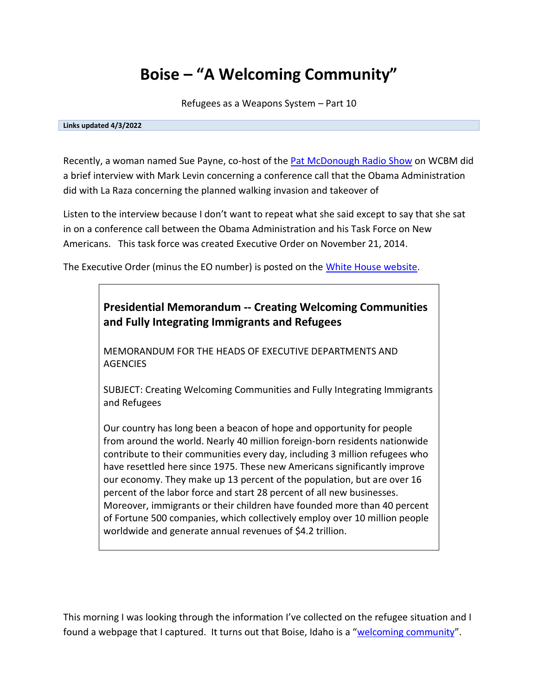# **Boise – "A Welcoming Community"**

Refugees as a Weapons System – Part 10

#### **Links updated 4/3/2022**

Recently, a woman named Sue Payne, co-host of the **Pat McDonough Radio Show** on WCBM did a brief interview with Mark Levin concerning a conference call that the Obama Administration did with La Raza concerning the planned walking invasion and takeover of

Listen to the interview because I don't want to repeat what she said except to say that she sat in on a conference call between the Obama Administration and his Task Force on New Americans. This task force was created Executive Order on November 21, 2014.

The Executive Order (minus the EO number) is posted on the [White House website.](https://web.archive.org/web/20150303215118/http:/www.whitehouse.gov/the-press-office/2014/11/21/presidential-memorandum-creating-welcoming-communities-and-fully-integra)



SUBJECT: Creating Welcoming Communities and Fully Integrating Immigrants and Refugees

Our country has long been a beacon of hope and opportunity for people from around the world. Nearly 40 million foreign-born residents nationwide contribute to their communities every day, including 3 million refugees who have resettled here since 1975. These new Americans significantly improve our economy. They make up 13 percent of the population, but are over 16 percent of the labor force and start 28 percent of all new businesses. Moreover, immigrants or their children have founded more than 40 percent of Fortune 500 companies, which collectively employ over 10 million people worldwide and generate annual revenues of \$4.2 trillion.

This morning I was looking through the information I've collected on the refugee situation and I found a webpage that I captured. It turns out that Boise, Idaho is a "[welcoming community](https://web.archive.org/web/20150911043236/http:/arts.idaho.gov/folk/home/home5.aspx)".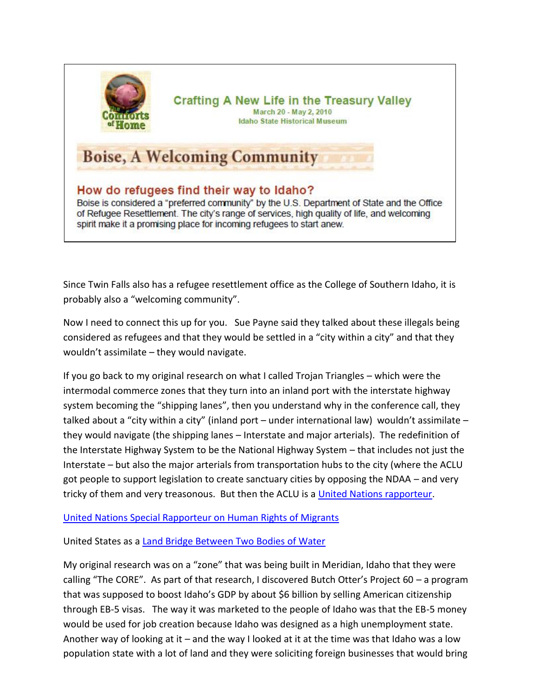

#### **Crafting A New Life in the Treasury Valley** March 20 - May 2, 2010 **Idaho State Historical Museum**

## **Boise, A Welcoming Community**

How do refugees find their way to Idaho? Boise is considered a "preferred community" by the U.S. Department of State and the Office of Refugee Resettlement. The city's range of services, high quality of life, and welcoming spirit make it a promising place for incoming refugees to start anew.

Since Twin Falls also has a refugee resettlement office as the College of Southern Idaho, it is probably also a "welcoming community".

Now I need to connect this up for you. Sue Payne said they talked about these illegals being considered as refugees and that they would be settled in a "city within a city" and that they wouldn't assimilate – they would navigate.

If you go back to my original research on what I called Trojan Triangles – which were the intermodal commerce zones that they turn into an inland port with the interstate highway system becoming the "shipping lanes", then you understand why in the conference call, they talked about a "city within a city" (inland port – under international law) wouldn't assimilate – they would navigate (the shipping lanes – Interstate and major arterials). The redefinition of the Interstate Highway System to be the National Highway System – that includes not just the Interstate – but also the major arterials from transportation hubs to the city (where the ACLU got people to support legislation to create sanctuary cities by opposing the NDAA – and very tricky of them and very treasonous. But then the ACLU is a [United Nations rapporteur.](https://www.aclu.org/immigrants-rights/faqs-united-nations-special-rapporteurs)

[United Nations Special Rapporteur on Human Rights of Migrants](http://www.ohchr.org/EN/Issues/Migration/SRMigrants/Pages/SRMigrantsIndex.aspx)

United States as a [Land Bridge Between Two Bodies of Water](http://www.channelingreality.com/NAU/Documents/FTZ_Land_Bridge.pdf)

My original research was on a "zone" that was being built in Meridian, Idaho that they were calling "The CORE". As part of that research, I discovered Butch Otter's Project 60 – a program that was supposed to boost Idaho's GDP by about \$6 billion by selling American citizenship through EB-5 visas. The way it was marketed to the people of Idaho was that the EB-5 money would be used for job creation because Idaho was designed as a high unemployment state. Another way of looking at it – and the way I looked at it at the time was that Idaho was a low population state with a lot of land and they were soliciting foreign businesses that would bring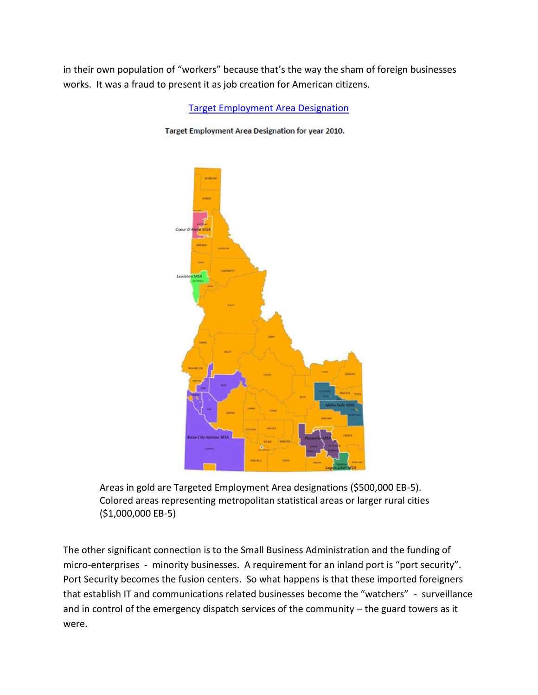in their own population of "workers" because that's the way the sham of foreign businesses works. It was a fraud to present it as job creation for American citizens.

[Target Employment Area Designation](http://www.channelingreality.com/CORE/Idaho_EB-5_TEA_Map.pdf)

Target Employment Area Designation for year 2010.



Areas in gold are Targeted Employment Area designations (\$500,000 EB-5). Colored areas representing metropolitan statistical areas or larger rural cities (\$1,000,000 EB-5)

The other significant connection is to the Small Business Administration and the funding of micro-enterprises - minority businesses. A requirement for an inland port is "port security". Port Security becomes the fusion centers. So what happens is that these imported foreigners that establish IT and communications related businesses become the "watchers" - surveillance and in control of the emergency dispatch services of the community – the guard towers as it were.